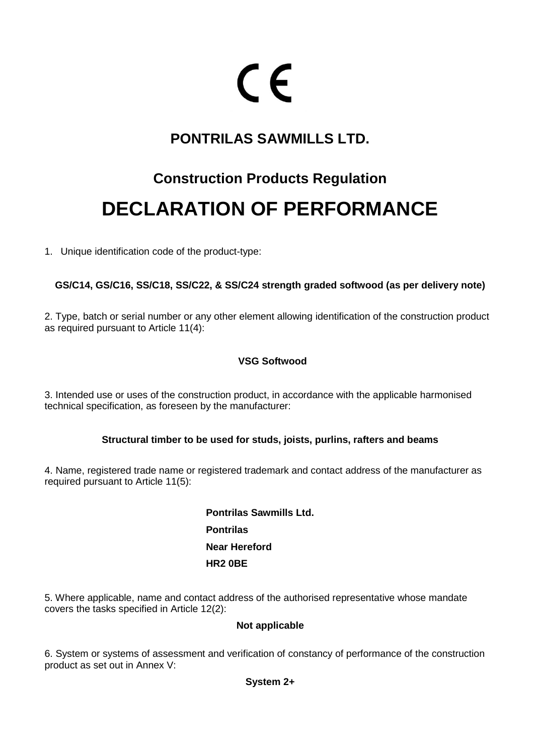# CE

### **PONTRILAS SAWMILLS LTD.**

## **Construction Products Regulation DECLARATION OF PERFORMANCE**

1. Unique identification code of the product-type:

#### **GS/C14, GS/C16, SS/C18, SS/C22, & SS/C24 strength graded softwood (as per delivery note)**

2. Type, batch or serial number or any other element allowing identification of the construction product as required pursuant to Article 11(4):

#### **VSG Softwood**

3. Intended use or uses of the construction product, in accordance with the applicable harmonised technical specification, as foreseen by the manufacturer:

#### **Structural timber to be used for studs, joists, purlins, rafters and beams**

4. Name, registered trade name or registered trademark and contact address of the manufacturer as required pursuant to Article 11(5):

> **Pontrilas Sawmills Ltd. Pontrilas Near Hereford HR2 0BE**

5. Where applicable, name and contact address of the authorised representative whose mandate covers the tasks specified in Article 12(2):

#### **Not applicable**

6. System or systems of assessment and verification of constancy of performance of the construction product as set out in Annex V: